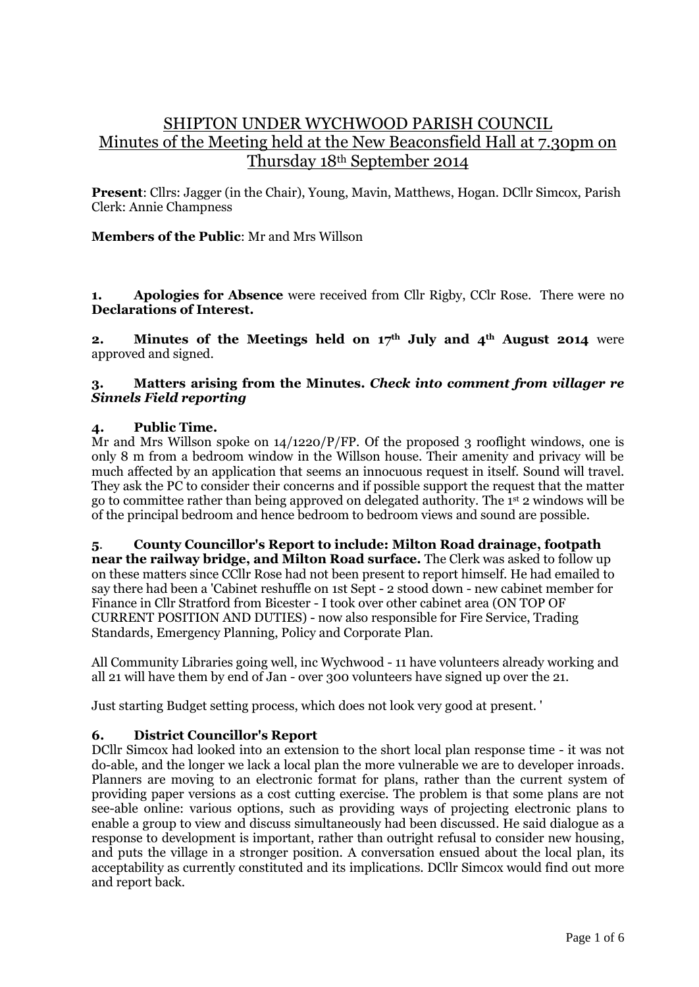# SHIPTON UNDER WYCHWOOD PARISH COUNCIL Minutes of the Meeting held at the New Beaconsfield Hall at 7.30pm on Thursday 18th September 2014

**Present**: Cllrs: Jagger (in the Chair), Young, Mavin, Matthews, Hogan. DCllr Simcox, Parish Clerk: Annie Champness

# **Members of the Public**: Mr and Mrs Willson

**1. Apologies for Absence** were received from Cllr Rigby, CClr Rose. There were no **Declarations of Interest.** 

**2. Minutes of the Meetings held on 17th July and 4th August 2014** were approved and signed.

# **3. Matters arising from the Minutes.** *Check into comment from villager re Sinnels Field reporting*

# **4. Public Time.**

Mr and Mrs Willson spoke on  $14/1220/P/FP$ . Of the proposed 3 rooflight windows, one is only 8 m from a bedroom window in the Willson house. Their amenity and privacy will be much affected by an application that seems an innocuous request in itself. Sound will travel. They ask the PC to consider their concerns and if possible support the request that the matter go to committee rather than being approved on delegated authority. The 1 st 2 windows will be of the principal bedroom and hence bedroom to bedroom views and sound are possible.

**5**. **County Councillor's Report to include: Milton Road drainage, footpath near the railway bridge, and Milton Road surface.** The Clerk was asked to follow up on these matters since CCllr Rose had not been present to report himself. He had emailed to say there had been a 'Cabinet reshuffle on 1st Sept - 2 stood down - new cabinet member for Finance in Cllr Stratford from Bicester - I took over other cabinet area (ON TOP OF CURRENT POSITION AND DUTIES) - now also responsible for Fire Service, Trading Standards, Emergency Planning, Policy and Corporate Plan.

All Community Libraries going well, inc Wychwood - 11 have volunteers already working and all 21 will have them by end of Jan - over 300 volunteers have signed up over the 21.

Just starting Budget setting process, which does not look very good at present. '

# **6. District Councillor's Report**

DCllr Simcox had looked into an extension to the short local plan response time - it was not do-able, and the longer we lack a local plan the more vulnerable we are to developer inroads. Planners are moving to an electronic format for plans, rather than the current system of providing paper versions as a cost cutting exercise. The problem is that some plans are not see-able online: various options, such as providing ways of projecting electronic plans to enable a group to view and discuss simultaneously had been discussed. He said dialogue as a response to development is important, rather than outright refusal to consider new housing, and puts the village in a stronger position. A conversation ensued about the local plan, its acceptability as currently constituted and its implications. DCllr Simcox would find out more and report back.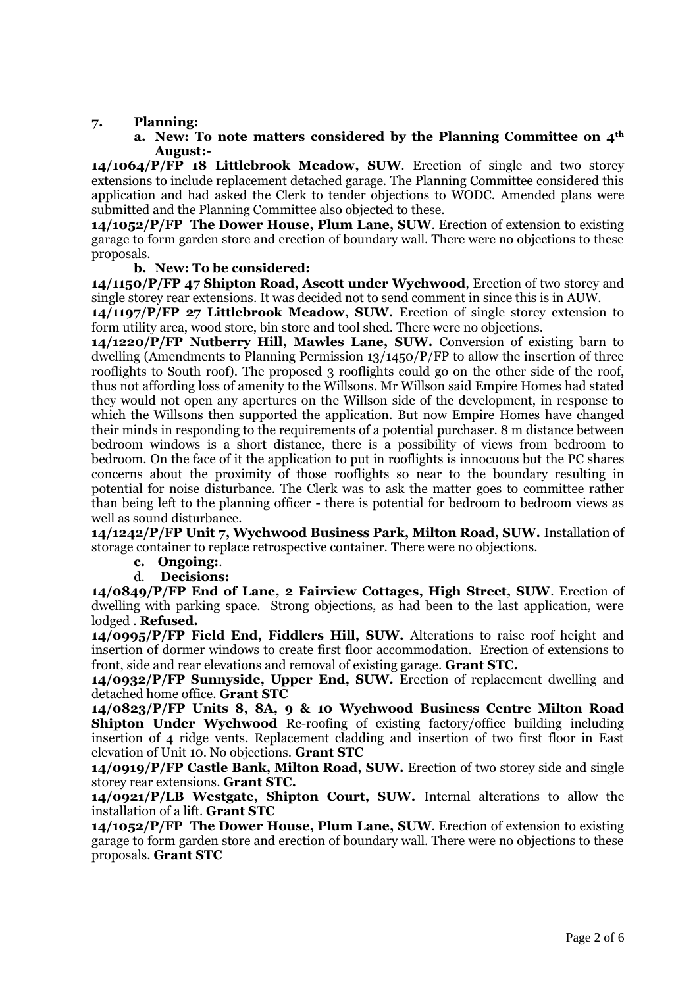### **7. Planning:**

#### **a. New: To note matters considered by the Planning Committee on 4th August:-**

**14/1064/P/FP 18 Littlebrook Meadow, SUW**. Erection of single and two storey extensions to include replacement detached garage. The Planning Committee considered this application and had asked the Clerk to tender objections to WODC. Amended plans were submitted and the Planning Committee also objected to these.

**14/1052/P/FP The Dower House, Plum Lane, SUW**. Erection of extension to existing garage to form garden store and erection of boundary wall. There were no objections to these proposals.

**b. New: To be considered:**

**14/1150/P/FP 47 Shipton Road, Ascott under Wychwood**, Erection of two storey and single storey rear extensions. It was decided not to send comment in since this is in AUW.

**14/1197/P/FP 27 Littlebrook Meadow, SUW.** Erection of single storey extension to form utility area, wood store, bin store and tool shed. There were no objections.

**14/1220/P/FP Nutberry Hill, Mawles Lane, SUW.** Conversion of existing barn to dwelling (Amendments to Planning Permission 13/1450/P/FP to allow the insertion of three rooflights to South roof). The proposed 3 rooflights could go on the other side of the roof, thus not affording loss of amenity to the Willsons. Mr Willson said Empire Homes had stated they would not open any apertures on the Willson side of the development, in response to which the Willsons then supported the application. But now Empire Homes have changed their minds in responding to the requirements of a potential purchaser. 8 m distance between bedroom windows is a short distance, there is a possibility of views from bedroom to bedroom. On the face of it the application to put in rooflights is innocuous but the PC shares concerns about the proximity of those rooflights so near to the boundary resulting in potential for noise disturbance. The Clerk was to ask the matter goes to committee rather than being left to the planning officer - there is potential for bedroom to bedroom views as well as sound disturbance.

**14/1242/P/FP Unit 7, Wychwood Business Park, Milton Road, SUW.** Installation of storage container to replace retrospective container. There were no objections.

#### **c. Ongoing:**.

d. **Decisions:**

**14/0849/P/FP End of Lane, 2 Fairview Cottages, High Street, SUW**. Erection of dwelling with parking space. Strong objections, as had been to the last application, were lodged . **Refused.**

**14/0995/P/FP Field End, Fiddlers Hill, SUW.** Alterations to raise roof height and insertion of dormer windows to create first floor accommodation. Erection of extensions to front, side and rear elevations and removal of existing garage. **Grant STC.**

**14/0932/P/FP Sunnyside, Upper End, SUW.** Erection of replacement dwelling and detached home office. **Grant STC**

**14/0823/P/FP Units 8, 8A, 9 & 10 Wychwood Business Centre Milton Road Shipton Under Wychwood** Re-roofing of existing factory/office building including insertion of 4 ridge vents. Replacement cladding and insertion of two first floor in East elevation of Unit 10. No objections. **Grant STC**

**14/0919/P/FP Castle Bank, Milton Road, SUW.** Erection of two storey side and single storey rear extensions. **Grant STC.**

**14/0921/P/LB Westgate, Shipton Court, SUW.** Internal alterations to allow the installation of a lift. **Grant STC**

**14/1052/P/FP The Dower House, Plum Lane, SUW**. Erection of extension to existing garage to form garden store and erection of boundary wall. There were no objections to these proposals. **Grant STC**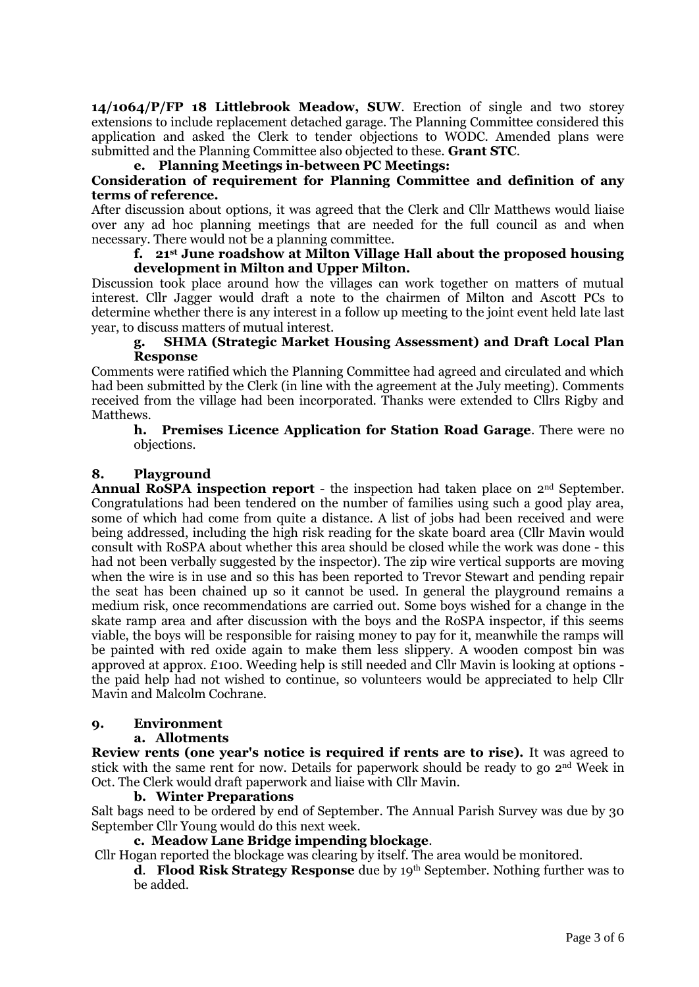**14/1064/P/FP 18 Littlebrook Meadow, SUW**. Erection of single and two storey extensions to include replacement detached garage. The Planning Committee considered this application and asked the Clerk to tender objections to WODC. Amended plans were submitted and the Planning Committee also objected to these. **Grant STC**.

# **e. Planning Meetings in-between PC Meetings:**

## **Consideration of requirement for Planning Committee and definition of any terms of reference.**

After discussion about options, it was agreed that the Clerk and Cllr Matthews would liaise over any ad hoc planning meetings that are needed for the full council as and when necessary. There would not be a planning committee.

#### **f. 21st June roadshow at Milton Village Hall about the proposed housing development in Milton and Upper Milton.**

Discussion took place around how the villages can work together on matters of mutual interest. Cllr Jagger would draft a note to the chairmen of Milton and Ascott PCs to determine whether there is any interest in a follow up meeting to the joint event held late last year, to discuss matters of mutual interest.

#### **g. SHMA (Strategic Market Housing Assessment) and Draft Local Plan Response**

Comments were ratified which the Planning Committee had agreed and circulated and which had been submitted by the Clerk (in line with the agreement at the July meeting). Comments received from the village had been incorporated. Thanks were extended to Cllrs Rigby and Matthews.

### **h. Premises Licence Application for Station Road Garage**. There were no objections.

### **8. Playground**

**Annual RoSPA inspection report** - the inspection had taken place on 2nd September. Congratulations had been tendered on the number of families using such a good play area, some of which had come from quite a distance. A list of jobs had been received and were being addressed, including the high risk reading for the skate board area (Cllr Mavin would consult with RoSPA about whether this area should be closed while the work was done - this had not been verbally suggested by the inspector). The zip wire vertical supports are moving when the wire is in use and so this has been reported to Trevor Stewart and pending repair the seat has been chained up so it cannot be used. In general the playground remains a medium risk, once recommendations are carried out. Some boys wished for a change in the skate ramp area and after discussion with the boys and the RoSPA inspector, if this seems viable, the boys will be responsible for raising money to pay for it, meanwhile the ramps will be painted with red oxide again to make them less slippery. A wooden compost bin was approved at approx. £100. Weeding help is still needed and Cllr Mavin is looking at options the paid help had not wished to continue, so volunteers would be appreciated to help Cllr Mavin and Malcolm Cochrane.

#### **9. Environment**

#### **a. Allotments**

**Review rents (one year's notice is required if rents are to rise).** It was agreed to stick with the same rent for now. Details for paperwork should be ready to go 2nd Week in Oct. The Clerk would draft paperwork and liaise with Cllr Mavin.

#### **b. Winter Preparations**

Salt bags need to be ordered by end of September. The Annual Parish Survey was due by 30 September Cllr Young would do this next week.

### **c. Meadow Lane Bridge impending blockage**.

Cllr Hogan reported the blockage was clearing by itself. The area would be monitored.

**d. Flood Risk Strategy Response** due by 19th September. Nothing further was to be added.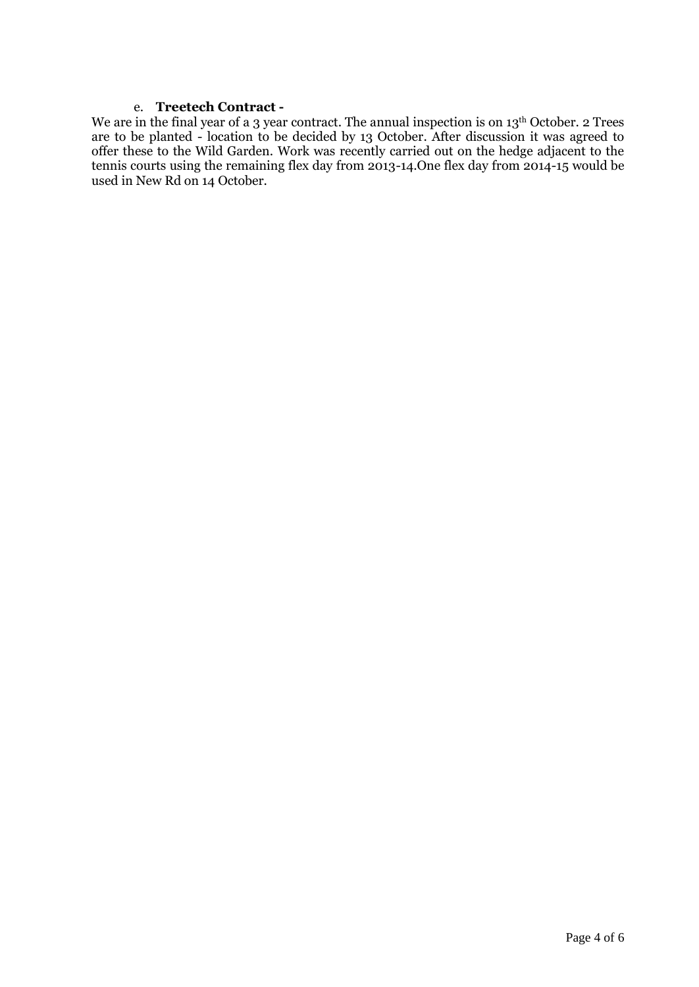#### e. **Treetech Contract -**

We are in the final year of a 3 year contract. The annual inspection is on 13<sup>th</sup> October. 2 Trees are to be planted - location to be decided by 13 October. After discussion it was agreed to offer these to the Wild Garden. Work was recently carried out on the hedge adjacent to the tennis courts using the remaining flex day from 2013-14.One flex day from 2014-15 would be used in New Rd on 14 October.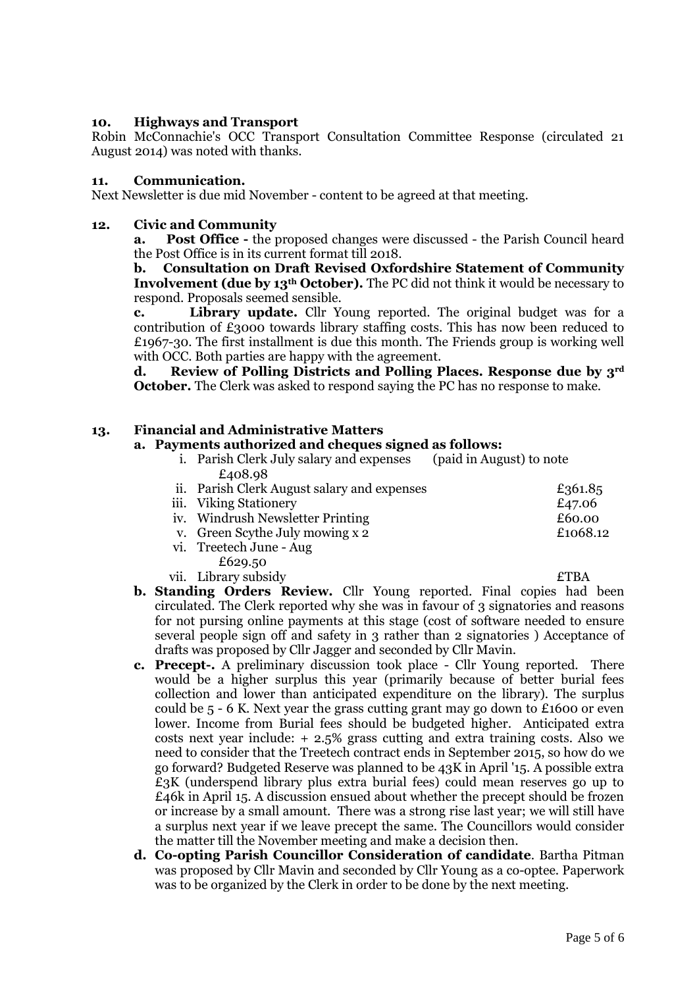## **10. Highways and Transport**

Robin McConnachie's OCC Transport Consultation Committee Response (circulated 21 August 2014) was noted with thanks.

### **11. Communication.**

Next Newsletter is due mid November - content to be agreed at that meeting.

### **12. Civic and Community**

**a. Post Office -** the proposed changes were discussed - the Parish Council heard the Post Office is in its current format till 2018.

## **b. Consultation on Draft Revised Oxfordshire Statement of Community Involvement (due by 13th October).** The PC did not think it would be necessary to respond. Proposals seemed sensible.

**c. Library update.** Cllr Young reported. The original budget was for a contribution of £3000 towards library staffing costs. This has now been reduced to £1967-30. The first installment is due this month. The Friends group is working well with OCC. Both parties are happy with the agreement.

**d. Review of Polling Districts and Polling Places. Response due by 3rd October.** The Clerk was asked to respond saying the PC has no response to make.

### **13. Financial and Administrative Matters**

#### **a. Payments authorized and cheques signed as follows:**

- i. Parish Clerk July salary and expenses (paid in August) to note £408.98
- ii. Parish Clerk August salary and expenses  $\epsilon$ 361.85 iii. Viking Stationery and the set of the set of the set of the set of the set of the set of the set of the set of the set of the set of the set of the set of the set of the set of the set of the set of the set of the set iv. Windrush Newsletter Printing  $£60.00$ v. Green Scythe July mowing x 2  $£1068.12$ vi. Treetech June - Aug £629.50
- vii. Library subsidy **ETBA**

- **b. Standing Orders Review.** Cllr Young reported. Final copies had been circulated. The Clerk reported why she was in favour of 3 signatories and reasons for not pursing online payments at this stage (cost of software needed to ensure several people sign off and safety in 3 rather than 2 signatories ) Acceptance of drafts was proposed by Cllr Jagger and seconded by Cllr Mavin.
- **c. Precept-.** A preliminary discussion took place Cllr Young reported. There would be a higher surplus this year (primarily because of better burial fees collection and lower than anticipated expenditure on the library). The surplus could be  $5 - 6$  K. Next year the grass cutting grant may go down to £1600 or even lower. Income from Burial fees should be budgeted higher. Anticipated extra costs next year include: + 2.5% grass cutting and extra training costs. Also we need to consider that the Treetech contract ends in September 2015, so how do we go forward? Budgeted Reserve was planned to be 43K in April '15. A possible extra £3K (underspend library plus extra burial fees) could mean reserves go up to £46k in April 15. A discussion ensued about whether the precept should be frozen or increase by a small amount. There was a strong rise last year; we will still have a surplus next year if we leave precept the same. The Councillors would consider the matter till the November meeting and make a decision then.
- **d. Co-opting Parish Councillor Consideration of candidate**. Bartha Pitman was proposed by Cllr Mavin and seconded by Cllr Young as a co-optee. Paperwork was to be organized by the Clerk in order to be done by the next meeting.